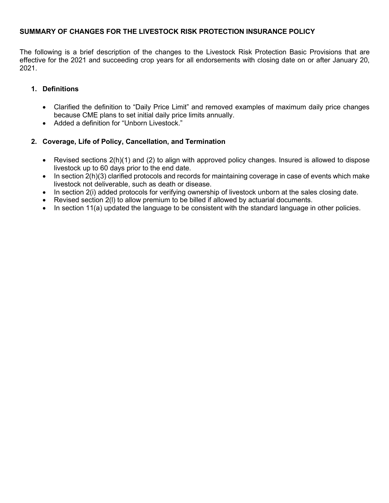# **SUMMARY OF CHANGES FOR THE LIVESTOCK RISK PROTECTION INSURANCE POLICY**

The following is a brief description of the changes to the Livestock Risk Protection Basic Provisions that are effective for the 2021 and succeeding crop years for all endorsements with closing date on or after January 20, 2021.

# **1. Definitions**

- Clarified the definition to "Daily Price Limit" and removed examples of maximum daily price changes because CME plans to set initial daily price limits annually.
- Added a definition for "Unborn Livestock."

# **2. Coverage, Life of Policy, Cancellation, and Termination**

- Revised sections 2(h)(1) and (2) to align with approved policy changes. Insured is allowed to dispose livestock up to 60 days prior to the end date.
- In section 2(h)(3) clarified protocols and records for maintaining coverage in case of events which make livestock not deliverable, such as death or disease.
- In section 2(i) added protocols for verifying ownership of livestock unborn at the sales closing date.
- Revised section 2(l) to allow premium to be billed if allowed by actuarial documents.
- In section 11(a) updated the language to be consistent with the standard language in other policies.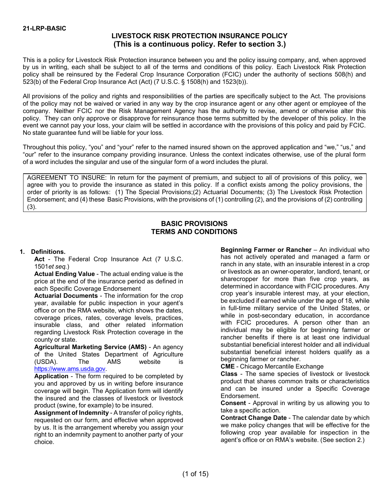# **LIVESTOCK RISK PROTECTION INSURANCE POLICY (This is a continuous policy. Refer to section 3.)**

This is a policy for Livestock Risk Protection insurance between you and the policy issuing company, and, when approved by us in writing, each shall be subject to all of the terms and conditions of this policy. Each Livestock Risk Protection policy shall be reinsured by the Federal Crop Insurance Corporation (FCIC) under the authority of sections 508(h) and 523(b) of the Federal Crop Insurance Act (Act) (7 U.S.C. § 1508(h) and 1523(b)).

All provisions of the policy and rights and responsibilities of the parties are specifically subject to the Act. The provisions of the policy may not be waived or varied in any way by the crop insurance agent or any other agent or employee of the company. Neither FCIC nor the Risk Management Agency has the authority to revise, amend or otherwise alter this policy. They can only approve or disapprove for reinsurance those terms submitted by the developer of this policy. In the event we cannot pay your loss, your claim will be settled in accordance with the provisions of this policy and paid by FCIC. No state guarantee fund will be liable for your loss.

Throughout this policy, "you" and "your" refer to the named insured shown on the approved application and "we," "us," and "our" refer to the insurance company providing insurance. Unless the context indicates otherwise, use of the plural form of a word includes the singular and use of the singular form of a word includes the plural.

AGREEMENT TO INSURE: In return for the payment of premium, and subject to all of provisions of this policy, we agree with you to provide the insurance as stated in this policy. If a conflict exists among the policy provisions, the order of priority is as follows: (1) The Special Provisions;(2) Actuarial Documents; (3) The Livestock Risk Protection Endorsement; and (4) these Basic Provisions, with the provisions of (1) controlling (2), and the provisions of (2) controlling (3).

### **BASIC PROVISIONS TERMS AND CONDITIONS**

### **1. Definitions.**

**Act** - The Federal Crop Insurance Act (7 U.S.C. 1501*et seq.*)

**Actual Ending Value** - The actual ending value is the price at the end of the insurance period as defined in each Specific Coverage Endorsement

**Actuarial Documents** - The information for the crop year, available for public inspection in your agent's office or on the RMA website, which shows the dates, coverage prices, rates, coverage levels, practices, insurable class, and other related information regarding Livestock Risk Protection coverage in the county or state.

**Agricultural Marketing Service (AMS)** - An agency of the United States Department of Agriculture (USDA). The AMS website is [https://www.ams.usda.gov.](https://www.ams.usda.gov./)

**Application** - The form required to be completed by you and approved by us in writing before insurance coverage will begin. The Application form will identify the insured and the classes of livestock or livestock product (swine, for example) to be insured.

**Assignment of Indemnity** - A transfer of policy rights, requested on our form, and effective when approved by us. It is the arrangement whereby you assign your right to an indemnity payment to another party of your choice.

**Beginning Farmer or Rancher** – An individual who has not actively operated and managed a farm or ranch in any state, with an insurable interest in a crop or livestock as an owner-operator, landlord, tenant, or sharecropper for more than five crop years, as determined in accordance with FCIC procedures. Any crop year's insurable interest may, at your election, be excluded if earned while under the age of 18, while in full-time military service of the United States, or while in post-secondary education, in accordance with FCIC procedures. A person other than an individual may be eligible for beginning farmer or rancher benefits if there is at least one individual substantial beneficial interest holder and all individual substantial beneficial interest holders qualify as a beginning farmer or rancher.

**CME** - Chicago Mercantile Exchange

**Class** - The same species of livestock or livestock product that shares common traits or characteristics and can be insured under a Specific Coverage Endorsement.

**Consent** - Approval in writing by us allowing you to take a specific action.

**Contract Change Date** - The calendar date by which we make policy changes that will be effective for the following crop year available for inspection in the agent's office or on RMA's website. (See section 2.)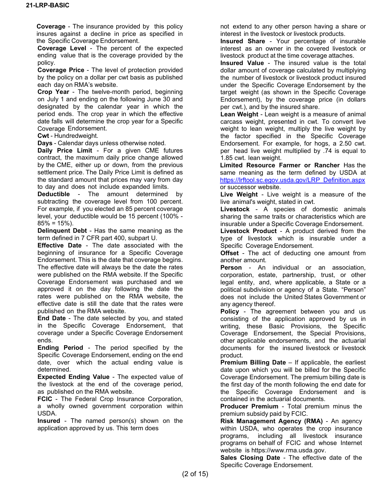**Coverage** - The insurance provided by this policy insures against a decline in price as specified in the Specific Coverage Endorsement.

**Coverage Level** - The percent of the expected ending value that is the coverage provided by the policy.

**Coverage Price** - The level of protection provided by the policy on a dollar per cwt basis as published each day on RMA's website.

**Crop Year** - The twelve-month period, beginning on July 1 and ending on the following June 30 and designated by the calendar year in which the period ends. The crop year in which the effective date falls will determine the crop year for a Specific Coverage Endorsement.

**Cwt** - Hundredweight.

**Days** - Calendar days unless otherwise noted.

**Daily Price Limit** - For a given CME futures contract, the maximum daily price change allowed by the CME, either up or down, from the previous settlement price. The Daily Price Limit is defined as the standard amount that prices may vary from day to day and does not include expanded limits.

**Deductible** - The amount determined by subtracting the coverage level from 100 percent. For example, if you elected an 85 percent coverage level, your deductible would be 15 percent (100% -  $85\% = 15\%$ ).

**Delinquent Debt** - Has the same meaning as the term defined in 7 CFR part 400, subpart U.

**Effective Date** - The date associated with the beginning of insurance for a Specific Coverage Endorsement. This is the date that coverage begins. The effective date will always be the date the rates were published on the RMA website. If the Specific Coverage Endorsement was purchased and we approved it on the day following the date the rates were published on the RMA website, the effective date is still the date that the rates were published on the RMA website.

**End Date** - The date selected by you, and stated in the Specific Coverage Endorsement, that coverage under a Specific Coverage Endorsement ends.

**Ending Period** - The period specified by the Specific Coverage Endorsement, ending on the end date, over which the actual ending value is determined.

**Expected Ending Value** - The expected value of the livestock at the end of the coverage period, as published on the RMA website.

**FCIC** - The Federal Crop Insurance Corporation, a wholly owned government corporation within USDA.

**Insured** - The named person(s) shown on the application approved by us. This term does

not extend to any other person having a share or interest in the livestock or livestock products.

**Insured Share** - Your percentage of insurable interest as an owner in the covered livestock or livestock product at the time coverage attaches.

**Insured Value** - The insured value is the total dollar amount of coverage calculated by multiplying the number of livestock or livestock product insured under the Specific Coverage Endorsement by the target weight (as shown in the Specific Coverage Endorsement), by the coverage price (in dollars per cwt.), and by the insured share.

**Lean Weight** - Lean weight is a measure of animal carcass weight, presented in cwt. To convert live weight to lean weight, multiply the live weight by the factor specified in the Specific Coverage Endorsement. For example, for hogs, a 2.50 cwt. per head live weight multiplied by .74 is equal to 1.85 cwt. lean weight.

**Limited Resource Farmer or Rancher** Has the same meaning as the term defined by USDA at [https://lrftool.sc.egov.usda.gov/LRP\\_Definition.aspx](https://lrftool.sc.egov.usda.gov/LRP_Definition.aspx) or successor website.

**Live Weight** - Live weight is a measure of the live animal's weight, stated in cwt.

**Livestock** - A species of domestic animals sharing the same traits or characteristics which are insurable under a Specific Coverage Endorsement.

**Livestock Product** - A product derived from the type of livestock which is insurable under a Specific Coverage Endorsement.

**Offset** - The act of deducting one amount from another amount.

**Person** - An individual or an association, corporation, estate, partnership, trust, or other legal entity, and, where applicable, a State or a political subdivision or agency of a State. "Person" does not include the United States Government or any agency thereof.

**Policy** - The agreement between you and us consisting of the application approved by us in writing, these Basic Provisions, the Specific Coverage Endorsement, the Special Provisions, other applicable endorsements, and the actuarial documents for the insured livestock or livestock product.

**Premium Billing Date** – If applicable, the earliest date upon which you will be billed for the Specific Coverage Endorsement. The premium billing date is the first day of the month following the end date for the Specific Coverage Endorsement and is contained in the actuarial documents.

**Producer Premium** - Total premium minus the premium subsidy paid by FCIC.

**Risk Management Agency (RMA)** - An agency within USDA, who operates the crop insurance programs, including all livestock insurance programs on behalf of FCIC and whose Internet website is [https://www.rma.usda.gov.](https://www.rma.usda.gov./)

**Sales Closing Date** - The effective date of the Specific Coverage Endorsement.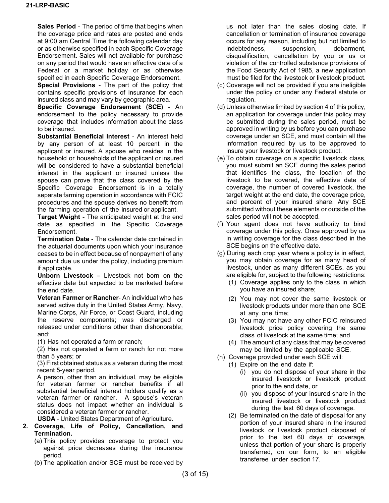**Sales Period** - The period of time that begins when the coverage price and rates are posted and ends at 9:00 am Central Time the following calendar day or as otherwise specified in each Specific Coverage Endorsement. Sales will not available for purchase on any period that would have an effective date of a Federal or a market holiday or as otherwise specified in each Specific Coverage Endorsement.

**Special Provisions** - The part of the policy that contains specific provisions of insurance for each insured class and may vary by geographic area.

**Specific Coverage Endorsement (SCE)** - An endorsement to the policy necessary to provide coverage that includes information about the class to be insured.

**Substantial Beneficial Interest** - An interest held by any person of at least 10 percent in the applicant or insured. A spouse who resides in the household or households of the applicant or insured will be considered to have a substantial beneficial interest in the applicant or insured unless the spouse can prove that the class covered by the Specific Coverage Endorsement is in a totally separate farming operation in accordance with FCIC procedures and the spouse derives no benefit from the farming operation of the insured or applicant.

**Target Weight** - The anticipated weight at the end date as specified in the Specific Coverage Endorsement.

**Termination Date** - The calendar date contained in the actuarial documents upon which your insurance ceases to be in effect because of nonpayment of any amount due us under the policy, including premium if applicable.

**Unborn Livestock –** Livestock not born on the effective date but expected to be marketed before the end date.

**Veteran Farmer or Rancher**- An individual who has served active duty in the United States Army, Navy, Marine Corps, Air Force, or Coast Guard, including the reserve components; was discharged or released under conditions other than dishonorable; and:

(1) Has not operated a farm or ranch;

(2) Has not operated a farm or ranch for not more than 5 years; or

(3) First obtained status as a veteran during the most recent 5-year period.

A person, other than an individual, may be eligible for veteran farmer or rancher benefits if all substantial beneficial interest holders qualify as a veteran farmer or rancher. A spouse's veteran status does not impact whether an individual is considered a veteran farmer or rancher.

**USDA** - United States Department of Agriculture.

- **2. Coverage, Life of Policy, Cancellation, and Termination.**
	- (a) This policy provides coverage to protect you against price decreases during the insurance period.
	- (b) The application and/or SCE must be received by

us not later than the sales closing date. If cancellation or termination of insurance coverage occurs for any reason, including but not limited to indebtedness, suspension, debarment, disqualification, cancellation by you or us or violation of the controlled substance provisions of the Food Security Act of 1985, a new application must be filed for the livestock or livestock product.

- (c) Coverage will not be provided if you are ineligible under the policy or under any Federal statute or regulation.
- (d) Unless otherwise limited by section 4 of this policy, an application for coverage under this policy may be submitted during the sales period, must be approved in writing by us before you can purchase coverage under an SCE, and must contain all the information required by us to be approved to insure your livestock or livestock product.
- (e) To obtain coverage on a specific livestock class, you must submit an SCE during the sales period that identifies the class, the location of the livestock to be covered, the effective date of coverage, the number of covered livestock, the target weight at the end date, the coverage price, and percent of your insured share. Any SCE submitted without these elements or outside of the sales period will not be accepted.
- (f) Your agent does not have authority to bind coverage under this policy. Once approved by us in writing coverage for the class described in the SCE begins on the effective date.
- (g) During each crop year where a policy is in effect, you may obtain coverage for as many head of livestock, under as many different SCEs, as you are eligible for, subject to the following restrictions:
	- (1) Coverage applies only to the class in which you have an insured share;
	- (2) You may not cover the same livestock or livestock products under more than one SCE at any one time;
	- (3) You may not have any other FCIC reinsured livestock price policy covering the same class of livestock at the same time; and
	- (4) The amount of any class that may be covered may be limited by the applicable SCE.
- (h) Coverage provided under each SCE will:
	- (1) Expire on the end date if:
		- (i) you do not dispose of your share in the insured livestock or livestock product prior to the end date, or
		- (ii) you dispose of your insured share in the insured livestock or livestock product during the last 60 days of coverage.
	- (2) Be terminated on the date of disposal for any portion of your insured share in the insured livestock or livestock product disposed of prior to the last 60 days of coverage, unless that portion of your share is properly transferred, on our form, to an eligible transferee under section 17.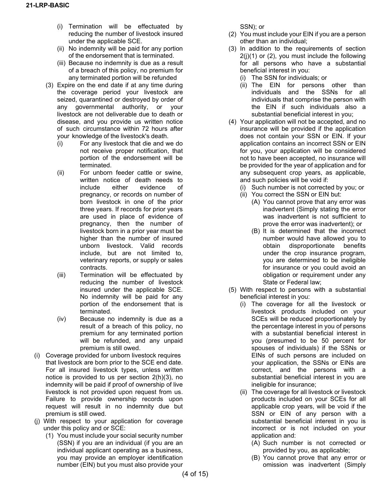- (i) Termination will be effectuated by reducing the number of livestock insured under the applicable SCE.
- (ii) No indemnity will be paid for any portion of the endorsement that is terminated.
- (iii) Because no indemnity is due as a result of a breach of this policy, no premium for any terminated portion will be refunded
- (3) Expire on the end date if at any time during the coverage period your livestock are seized, quarantined or destroyed by order of any governmental authority, or your livestock are not deliverable due to death or disease, and you provide us written notice of such circumstance within 72 hours after your knowledge of the livestock's death.
	- (i) For any livestock that die and we do not receive proper notification, that portion of the endorsement will be terminated.
	- (ii) For unborn feeder cattle or swine, written notice of death needs to include either evidence of pregnancy, or records on number of born livestock in one of the prior three years. If records for prior years are used in place of evidence of pregnancy, then the number of livestock born in a prior year must be higher than the number of insured unborn livestock. Valid records include, but are not limited to, veterinary reports, or supply or sales contracts.
	- (iii) Termination will be effectuated by reducing the number of livestock insured under the applicable SCE. No indemnity will be paid for any portion of the endorsement that is terminated.
	- (iv) Because no indemnity is due as a result of a breach of this policy, no premium for any terminated portion will be refunded, and any unpaid premium is still owed.
- (i) Coverage provided for unborn livestock requires that livestock are born prior to the SCE end date. For all insured livestock types, unless written notice is provided to us per section 2(h)(3), no indemnity will be paid if proof of ownership of live livestock is not provided upon request from us. Failure to provide ownership records upon request will result in no indemnity due but premium is still owed.
- (j) With respect to your application for coverage under this policy and or SCE:
	- (1) You must include your social security number (SSN) if you are an individual (if you are an individual applicant operating as a business, you may provide an employer identification number (EIN) but you must also provide your

SSN); or

- (2) You must include your EIN if you are a person other than an individual;
- (3) In addition to the requirements of section  $2(j)(1)$  or  $(2)$ , you must include the following for all persons who have a substantial beneficial interest in you:
	- (i) The SSN for individuals; or
	- (ii) The EIN for persons other than individuals and the SSNs for all individuals that comprise the person with the EIN if such individuals also a substantial beneficial interest in you;
- (4) Your application will not be accepted, and no insurance will be provided if the application does not contain your SSN or EIN. If your application contains an incorrect SSN or EIN for you, your application will be considered not to have been accepted, no insurance will be provided for the year of application and for any subsequent crop years, as applicable, and such policies will be void if:
	- (i) Such number is not corrected by you; or
	- (ii) You correct the SSN or EIN but:
		- (A) You cannot prove that any error was inadvertent (Simply stating the error was inadvertent is not sufficient to prove the error was inadvertent); or
		- (B) It is determined that the incorrect number would have allowed you to obtain disproportionate benefits under the crop insurance program, you are determined to be ineligible for insurance or you could avoid an obligation or requirement under any State or Federal law;
- (5) With respect to persons with a substantial beneficial interest in you:
	- (i) The coverage for all the livestock or livestock products included on your SCEs will be reduced proportionately by the percentage interest in you of persons with a substantial beneficial interest in you (presumed to be 50 percent for spouses of individuals) if the SSNs or EINs of such persons are included on your application, the SSNs or EINs are correct, and the persons with a substantial beneficial interest in you are ineligible for insurance;
	- (ii) The coverage for all livestock or livestock products included on your SCEs for all applicable crop years, will be void if the SSN or EIN of any person with a substantial beneficial interest in you is incorrect or is not included on your application and:
		- (A) Such number is not corrected or provided by you, as applicable;
		- (B) You cannot prove that any error or omission was inadvertent (Simply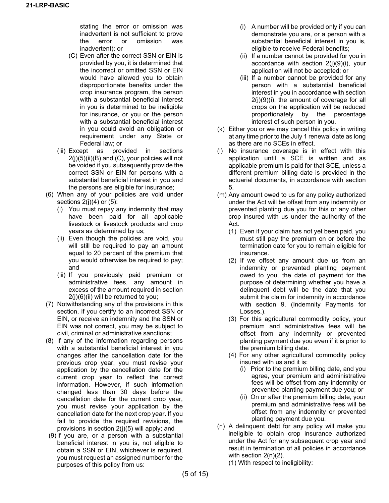stating the error or omission was inadvertent is not sufficient to prove<br>the error or omission was error or omission was inadvertent); or

- (C) Even after the correct SSN or EIN is provided by you, it is determined that the incorrect or omitted SSN or EIN would have allowed you to obtain disproportionate benefits under the crop insurance program, the person with a substantial beneficial interest in you is determined to be ineligible for insurance, or you or the person with a substantial beneficial interest in you could avoid an obligation or requirement under any State or Federal law; or
- (iii) Except as provided in sections  $2(j)(5)(ii)(B)$  and  $(C)$ , your policies will not be voided if you subsequently provide the correct SSN or EIN for persons with a substantial beneficial interest in you and the persons are eligible for insurance;
- (6) When any of your policies are void under sections  $2(j)(4)$  or  $(5)$ :
	- (i) You must repay any indemnity that may have been paid for all applicable livestock or livestock products and crop years as determined by us;
	- (ii) Even though the policies are void, you will still be required to pay an amount equal to 20 percent of the premium that you would otherwise be required to pay; and
	- (iii) If you previously paid premium or administrative fees, any amount in excess of the amount required in section 2(j)(6)(ii) will be returned to you;
- (7) Notwithstanding any of the provisions in this section, if you certify to an incorrect SSN or EIN, or receive an indemnity and the SSN or EIN was not correct, you may be subject to civil, criminal or administrative sanctions;
- (8) If any of the information regarding persons with a substantial beneficial interest in you changes after the cancellation date for the previous crop year, you must revise your application by the cancellation date for the current crop year to reflect the correct information. However, if such information changed less than 30 days before the cancellation date for the current crop year, you must revise your application by the cancellation date for the next crop year. If you fail to provide the required revisions, the provisions in section 2(j)(5) will apply; and
- (9)If you are, or a person with a substantial beneficial interest in you is, not eligible to obtain a SSN or EIN, whichever is required, you must request an assigned number for the purposes of this policy from us:
- (i) A number will be provided only if you can demonstrate you are, or a person with a substantial beneficial interest in you is, eligible to receive Federal benefits;
- (ii) If a number cannot be provided for you in accordance with section 2(j)(9)(i), your application will not be accepted; or
- (iii) If a number cannot be provided for any person with a substantial beneficial interest in you in accordance with section 2(j)(9)(i), the amount of coverage for all crops on the application will be reduced proportionately by the percentage interest of such person in you.
- (k) Either you or we may cancel this policy in writing at any time prior to the July 1 renewal date as long as there are no SCEs in effect.
- (l) No insurance coverage is in effect with this application until a SCE is written and as applicable premium is paid for that SCE, unless a different premium billing date is provided in the actuarial documents, in accordance with section 5.
- (m) Any amount owed to us for any policy authorized under the Act will be offset from any indemnity or prevented planting due you for this or any other crop insured with us under the authority of the Act.
	- (1) Even if your claim has not yet been paid, you must still pay the premium on or before the termination date for you to remain eligible for insurance.
	- (2) If we offset any amount due us from an indemnity or prevented planting payment owed to you, the date of payment for the purpose of determining whether you have a delinquent debt will be the date that you submit the claim for indemnity in accordance with section 9. (Indemnity Payments for Losses.).
	- (3) For this agricultural commodity policy, your premium and administrative fees will be offset from any indemnity or prevented planting payment due you even if it is prior to the premium billing date.
	- (4) For any other agricultural commodity policy insured with us and it is:
		- (i) Prior to the premium billing date, and you agree, your premium and administrative fees will be offset from any indemnity or prevented planting payment due you; or
		- (ii) On or after the premium billing date, your premium and administrative fees will be offset from any indemnity or prevented planting payment due you.
- (n) A delinquent debt for any policy will make you ineligible to obtain crop insurance authorized under the Act for any subsequent crop year and result in termination of all policies in accordance with section 2(n)(2).
	- (1) With respect to ineligibility: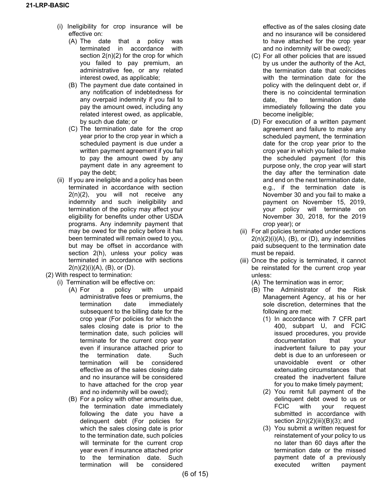- (i) Ineligibility for crop insurance will be effective on:
	- (A) The date that a policy was terminated in accordance with section 2(n)(2) for the crop for which you failed to pay premium, an administrative fee, or any related interest owed, as applicable;
	- (B) The payment due date contained in any notification of indebtedness for any overpaid indemnity if you fail to pay the amount owed, including any related interest owed, as applicable, by such due date; or
	- (C) The termination date for the crop year prior to the crop year in which a scheduled payment is due under a written payment agreement if you fail to pay the amount owed by any payment date in any agreement to pay the debt;
- (ii) If you are ineligible and a policy has been terminated in accordance with section 2(n)(2), you will not receive any indemnity and such ineligibility and termination of the policy may affect your eligibility for benefits under other USDA programs. Any indemnity payment that may be owed for the policy before it has been terminated will remain owed to you, but may be offset in accordance with section 2(h), unless your policy was terminated in accordance with sections  $2(n)(2)(i)(A)$ ,  $(B)$ , or  $(D)$ .
- (2) With respect to termination:
	- (i) Termination will be effective on:
		- (A) For a policy with unpaid administrative fees or premiums, the termination date immediately subsequent to the billing date for the crop year (For policies for which the sales closing date is prior to the termination date, such policies will terminate for the current crop year even if insurance attached prior to the termination date. Such termination will be considered effective as of the sales closing date and no insurance will be considered to have attached for the crop year and no indemnity will be owed);
		- (B) For a policy with other amounts due, the termination date immediately following the date you have a delinquent debt (For policies for which the sales closing date is prior to the termination date, such policies will terminate for the current crop year even if insurance attached prior to the termination date. Such termination will be considered

effective as of the sales closing date and no insurance will be considered to have attached for the crop year and no indemnity will be owed);

- (C) For all other policies that are issued by us under the authority of the Act, the termination date that coincides with the termination date for the policy with the delinquent debt or, if there is no coincidental termination date, the termination date immediately following the date you become ineligible;
- (D) For execution of a written payment agreement and failure to make any scheduled payment, the termination date for the crop year prior to the crop year in which you failed to make the scheduled payment (for this purpose only, the crop year will start the day after the termination date and end on the next termination date, e.g., if the termination date is November 30 and you fail to make a payment on November 15, 2019, your policy will terminate on November 30, 2018, for the 2019 crop year); or
- (ii) For all policies terminated under sections  $2(n)(2)(i)(A)$ ,  $(B)$ , or  $(D)$ , any indemnities paid subsequent to the termination date must be repaid.
- (iii) Once the policy is terminated, it cannot be reinstated for the current crop year unless:
	- (A) The termination was in error;
	- (B) The Administrator of the Risk Management Agency, at his or her sole discretion, determines that the following are met:
		- (1) In accordance with 7 CFR part 400, subpart U, and FCIC issued procedures, you provide documentation that your inadvertent failure to pay your debt is due to an unforeseen or unavoidable event or other extenuating circumstances that created the inadvertent failure for you to make timely payment;
		- (2) You remit full payment of the delinquent debt owed to us or<br>FCIC with your request FCIC with your request submitted in accordance with section 2(n)(2)(iii)(B)(3); and
		- (3) You submit a written request for reinstatement of your policy to us no later than 60 days after the termination date or the missed payment date of a previously executed written payment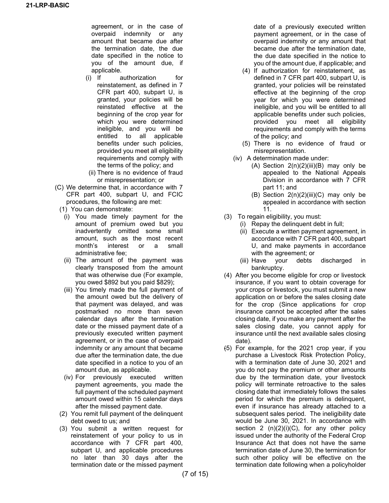agreement, or in the case of overpaid indemnity or any amount that became due after the termination date, the due date specified in the notice to you of the amount due, if applicable.

- (i) If authorization for reinstatement, as defined in 7 CFR part 400, subpart U, is granted, your policies will be reinstated effective at the beginning of the crop year for which you were determined ineligible, and you will be entitled to all applicable benefits under such policies, provided you meet all eligibility requirements and comply with the terms of the policy; and
- (ii) There is no evidence of fraud or misrepresentation; or
- (C) We determine that, in accordance with 7 CFR part 400, subpart U, and FCIC procedures, the following are met:
	- (1) You can demonstrate:
		- (i) You made timely payment for the amount of premium owed but you inadvertently omitted some small amount, such as the most recent month's interest or a small administrative fee;
		- (ii) The amount of the payment was clearly transposed from the amount that was otherwise due (For example, you owed \$892 but you paid \$829);
		- (iii) You timely made the full payment of the amount owed but the delivery of that payment was delayed, and was postmarked no more than seven calendar days after the termination date or the missed payment date of a previously executed written payment agreement, or in the case of overpaid indemnity or any amount that became due after the termination date, the due date specified in a notice to you of an amount due, as applicable.
		- (iv) For previously executed written payment agreements, you made the full payment of the scheduled payment amount owed within 15 calendar days after the missed payment date.
	- (2) You remit full payment of the delinquent debt owed to us; and
	- (3) You submit a written request for reinstatement of your policy to us in accordance with 7 CFR part 400, subpart U, and applicable procedures no later than 30 days after the termination date or the missed payment

date of a previously executed written payment agreement, or in the case of overpaid indemnity or any amount that became due after the termination date, the due date specified in the notice to you of the amount due, if applicable; and

- (4) If authorization for reinstatement, as defined in 7 CFR part 400, subpart U, is granted, your policies will be reinstated effective at the beginning of the crop year for which you were determined ineligible, and you will be entitled to all applicable benefits under such policies, provided you meet all eligibility requirements and comply with the terms of the policy; and
- (5) There is no evidence of fraud or misrepresentation.
- (iv) A determination made under:
	- $(A)$  Section  $2(n)(2)(iii)(B)$  may only be appealed to the National Appeals Division in accordance with 7 CFR part 11; and
	- (B) Section  $2(n)(2)(iii)(C)$  may only be appealed in accordance with section 11.
- (3) To regain eligibility, you must:
	- (i) Repay the delinquent debt in full;
	- (ii) Execute a written payment agreement, in accordance with 7 CFR part 400, subpart U, and make payments in accordance with the agreement; or
	- (iii) Have your debts discharged in bankruptcy.
- (4) After you become eligible for crop or livestock insurance, if you want to obtain coverage for your crops or livestock, you must submit a new application on or before the sales closing date for the crop (Since applications for crop insurance cannot be accepted after the sales closing date, if you make any payment after the sales closing date, you cannot apply for insurance until the next available sales closing date).
- (5) For example, for the 2021 crop year, if you purchase a Livestock Risk Protection Policy, with a termination date of June 30, 2021 and you do not pay the premium or other amounts due by the termination date, your livestock policy will terminate retroactive to the sales closing date that immediately follows the sales period for which the premium is delinquent, even if insurance has already attached to a subsequent sales period. The ineligibility date would be June 30, 2021. In accordance with section 2  $(n)(2)(i)(C)$ , for any other policy issued under the authority of the Federal Crop Insurance Act that does not have the same termination date of June 30, the termination for such other policy will be effective on the termination date following when a policyholder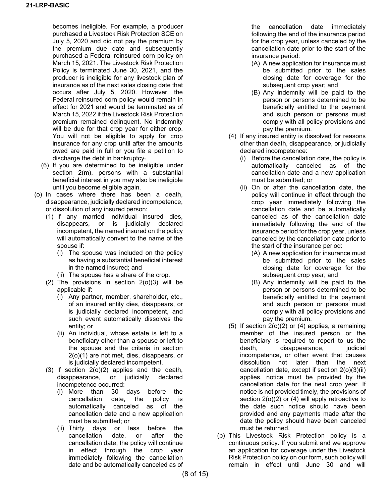becomes ineligible. For example, a producer purchased a Livestock Risk Protection SCE on July 5, 2020 and did not pay the premium by the premium due date and subsequently purchased a Federal reinsured corn policy on March 15, 2021. The Livestock Risk Protection Policy is terminated June 30, 2021, and the producer is ineligible for any livestock plan of insurance as of the next sales closing date that occurs after July 5, 2020. However, the Federal reinsured corn policy would remain in effect for 2021 and would be terminated as of March 15, 2022 if the Livestock Risk Protection premium remained delinquent. No indemnity will be due for that crop year for either crop. You will not be eligible to apply for crop insurance for any crop until after the amounts owed are paid in full or you file a petition to discharge the debt in bankruptcy.

- (6) If you are determined to be ineligible under section 2(m), persons with a substantial beneficial interest in you may also be ineligible until you become eligible again.
- (o) In cases where there has been a death, disappearance, judicially declared incompetence, or dissolution of any insured person:
	- (1) If any married individual insured dies, disappears, or is judicially declared incompetent, the named insured on the policy will automatically convert to the name of the spouse if:
		- (i) The spouse was included on the policy as having a substantial beneficial interest in the named insured; and
		- (ii) The spouse has a share of the crop.
	- (2) The provisions in section 2(o)(3) will be applicable if:
		- (i) Any partner, member, shareholder, etc., of an insured entity dies, disappears, or is judicially declared incompetent, and such event automatically dissolves the entity; or
		- (ii) An individual, whose estate is left to a beneficiary other than a spouse or left to the spouse and the criteria in section 2(o)(1) are not met, dies, disappears, or is judicially declared incompetent.
	- (3) If section 2(o)(2) applies and the death, disappearance, or judicially declared incompetence occurred:
		- (i) More than 30 days before the date, the policy is automatically canceled as of the cancellation date and a new application must be submitted; or
		- (ii) Thirty days or less before the cancellation date, or after the cancellation date, the policy will continue in effect through the crop year immediately following the cancellation date and be automatically canceled as of

the cancellation date immediately following the end of the insurance period for the crop year, unless canceled by the cancellation date prior to the start of the insurance period:

- (A) A new application for insurance must be submitted prior to the sales closing date for coverage for the subsequent crop year; and
- (B) Any indemnity will be paid to the person or persons determined to be beneficially entitled to the payment and such person or persons must comply with all policy provisions and pay the premium.
- (4) If any insured entity is dissolved for reasons other than death, disappearance, or judicially declared incompetence:
	- (i) Before the cancellation date, the policy is automatically canceled as of the cancellation date and a new application must be submitted; or
	- (ii) On or after the cancellation date, the policy will continue in effect through the crop year immediately following the cancellation date and be automatically canceled as of the cancellation date immediately following the end of the insurance period for the crop year, unless canceled by the cancellation date prior to the start of the insurance period:
		- (A) A new application for insurance must be submitted prior to the sales closing date for coverage for the subsequent crop year; and
		- (B) Any indemnity will be paid to the person or persons determined to be beneficially entitled to the payment and such person or persons must comply with all policy provisions and pay the premium.
- (5) If section 2(o)(2) or (4) applies, a remaining member of the insured person or the beneficiary is required to report to us the death, disappearance, judicial incompetence, or other event that causes dissolution not later than the next cancellation date, except if section 2(o)(3)(ii) applies, notice must be provided by the cancellation date for the next crop year. If notice is not provided timely, the provisions of section 2(o)(2) or (4) will apply retroactive to the date such notice should have been provided and any payments made after the date the policy should have been canceled must be returned.
- (p) This Livestock Risk Protection policy is a continuous policy. If you submit and we approve an application for coverage under the Livestock Risk Protection policy on our form, such policy will remain in effect until June 30 and will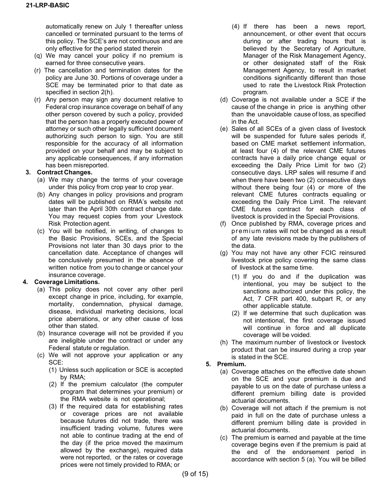automatically renew on July 1 thereafter unless cancelled or terminated pursuant to the terms of this policy. The SCE's are not continuous and are only effective for the period stated therein

- (q) We may cancel your policy if no premium is earned for three consecutive years.
- (r) The cancellation and termination dates for the policy are June 30. Portions of coverage under a SCE may be terminated prior to that date as specified in section 2(h).
- (r) Any person may sign any document relative to Federal crop insurance coverage on behalf of any other person covered by such a policy, provided that the person has a properly executed power of attorney or such other legally sufficient document authorizing such person to sign. You are still responsible for the accuracy of all information provided on your behalf and may be subject to any applicable consequences, if any information has been misreported.

### **3. Contract Changes.**

- (a) We may change the terms of your coverage under this policy from crop year to crop year.
- (b) Any changes in policy provisions and program dates will be published on RMA's website not later than the April 30th contract change date. You may request copies from your Livestock Risk Protection agent.
- (c) You will be notified, in writing, of changes to the Basic Provisions, SCEs, and the Special Provisions not later than 30 days prior to the cancellation date. Acceptance of changes will be conclusively presumed in the absence of written notice from you to change or cancel your insurance coverage.

### **4. Coverage Limitations.**

- (a) This policy does not cover any other peril except change in price, including, for example, mortality, condemnation, physical damage, disease, individual marketing decisions, local price aberrations, or any other cause of loss other than stated.
- (b) Insurance coverage will not be provided if you are ineligible under the contract or under any Federal statute or regulation.
- (c) We will not approve your application or any SCE:
	- (1) Unless such application or SCE is accepted by RMA;
	- (2) If the premium calculator (the computer program that determines your premium) or the RMA website is not operational;
	- (3) If the required data for establishing rates or coverage prices are not available because futures did not trade, there was insufficient trading volume, futures were not able to continue trading at the end of the day (if the price moved the maximum allowed by the exchange), required data were not reported, or the rates or coverage prices were not timely provided to RMA; or
- (4) If there has been a news report, announcement, or other event that occurs during or after trading hours that is believed by the Secretary of Agriculture, Manager of the Risk Management Agency, or other designated staff of the Risk Management Agency, to result in market conditions significantly different than those used to rate the Livestock Risk Protection program.
- (d) Coverage is not available under a SCE if the cause of the change in price is anything other than the unavoidable cause of loss, as specified in the Act.
- (e) Sales of all SCEs of a given class of livestock will be suspended for future sales periods if, based on CME market settlement information, at least four (4) of the relevant CME futures contracts have a daily price change equal or exceeding the Daily Price Limit for two (2) consecutive days. LRP sales will resume if and when there have been two (2) consecutive days without there being four (4) or more of the relevant CME futures contracts equaling or exceeding the Daily Price Limit. The relevant CME futures contract for each class of livestock is provided in the Special Provisions.
- (f) Once published by RMA, coverage prices and premium rates will not be changed as a result of any late revisions made by the publishers of the data.
- (g) You may not have any other FCIC reinsured livestock price policy covering the same class of livestock at the same time.
	- (1) If you do and if the duplication was intentional, you may be subject to the sanctions authorized under this policy, the Act, 7 CFR part 400, subpart R, or any other applicable statute.
	- (2) If we determine that such duplication was not intentional, the first coverage issued will continue in force and all duplicate coverage will be voided.
- (h) The maximum number of livestock or livestock product that can be insured during a crop year is stated in the SCE.

### **5. Premium.**

- (a) Coverage attaches on the effective date shown on the SCE and your premium is due and payable to us on the date of purchase unless a different premium billing date is provided actuarial documents.
- (b) Coverage will not attach if the premium is not paid in full on the date of purchase unless a different premium billing date is provided in actuarial documents.
- (c) The premium is earned and payable at the time coverage begins even if the premium is paid at the end of the endorsement period in accordance with section 5 (a). You will be billed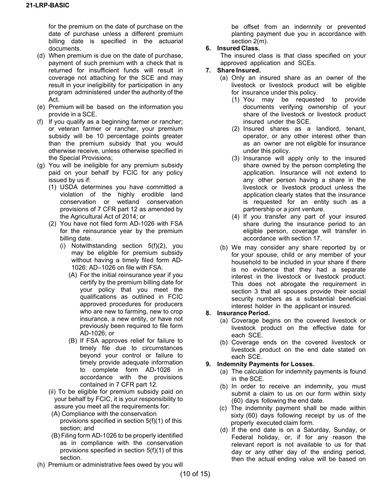for the premium on the date of purchase on the date of purchase unless a different premium billing date is specified in the actuarial documents.

- (d) When premium is due on the date of purchase, payment of such premium with a check that is returned for insufficient funds will result in coverage not attaching for the SCE and may result in your ineligibility for participation in any program administered under the authority of the Act.
- (e) Premium will be based on the information you provide in a SCE.
- (f) If you qualify as a beginning farmer or rancher; or veteran farmer or rancher, your premium subsidy will be 10 percentage points greater than the premium subsidy that you would otherwise receive, unless otherwise specified in the Special Provisions;
- (g) You will be ineligible for any premium subsidy paid on your behalf by FCIC for any policy issued by us if:
	- (1) USDA determines you have committed a violation of the highly erodible land conservation or wetland conservation provisions of 7 CFR part 12 as amended by the Agricultural Act of 2014; or
	- (2) You have not filed form AD-1026 with FSA for the reinsurance year by the premium billing date.
		- (i) Notwithstanding section 5(f)(2), you may be eligible for premium subsidy without having a timely filed form AD-1026: AD–1026 on file with FSA.
			- (A) For the initial reinsurance year if you certify by the premium billing date for your policy that you meet the qualifications as outlined in FCIC approved procedures for producers who are new to farming, new to crop insurance, a new entity, or have not previously been required to file form AD-1026; or
			- (B) If FSA approves relief for failure to timely file due to circumstances beyond your control or failure to timely provide adequate information to complete form AD-1026 in accordance with the provisions contained in 7 CFR part 12.
	- (ii) To be eligible for premium subsidy paid on your behalf by FCIC, it is your responsibility to assure you meet all the requirements for:
	- (A) Compliance with the conservation provisions specified in section 5(f)(1) of this section; and
	- (B) Filing form AD-1026 to be properly identified as in compliance with the conservation provisions specified in section 5(f)(1) of this section.
- (h) Premium or administrative fees owed by you will

be offset from an indemnity or prevented planting payment due you in accordance with section 2(m).

### **6. Insured Class.**

The insured class is that class specified on your approved application and SCEs.

#### **7. Share Insured.**

- (a) Only an insured share as an owner of the livestock or livestock product will be eligible for insurance under this policy.
	- (1) You may be requested to provide documents verifying ownership of your share of the livestock or livestock product insured under the SCE.
	- (2) Insured shares as a landlord, tenant, operator, or any other interest other than as an owner are not eligible for insurance under this policy.
	- (3) Insurance will apply only to the insured share owned by the person completing the application. Insurance will not extend to any other person having a share in the livestock or livestock product unless the application clearly states that the insurance is requested for an entity such as a partnership or a joint venture.
	- (4) If you transfer any part of your insured share during the insurance period to an eligible person, coverage will transfer in accordance with section 17.
- (b) We may consider any share reported by or for your spouse, child or any member of your household to be included in your share if there is no evidence that they had a separate interest in the livestock or livestock product. This does not abrogate the requirement in section 3 that all spouses provide their social security numbers as a substantial beneficial interest holder in the applicant or insured.

### **8. Insurance Period.**

- (a) Coverage begins on the covered livestock or livestock product on the effective date for each SCE.
- (b) Coverage ends on the covered livestock or livestock product on the end date stated on each SCE.

### **9. Indemnity Payments for Losses.**

- (a) The calculation for indemnity payments is found in the SCE.
- (b) In order to receive an indemnity, you must submit a claim to us on our form within sixty (60) days following the end date.
- (c) The indemnity payment shall be made within sixty (60) days following receipt by us of the properly executed claim form.
- (d) If the end date is on a Saturday, Sunday, or Federal holiday, or, if for any reason the relevant report is not available to us for that day or any other day of the ending period, then the actual ending value will be based on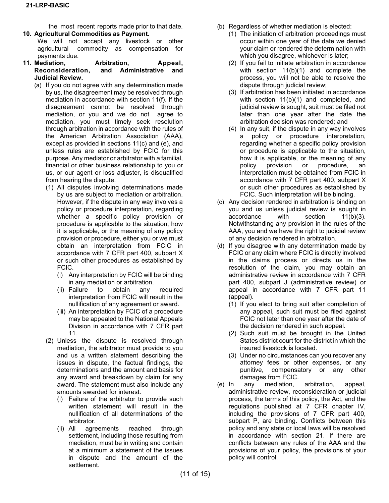the most recent reports made prior to that date. **10. Agricultural Commodities as Payment.**

- We will not accept any livestock or other agricultural commodity as compensation for payments due.
- **11. Mediation, Arbitration, Appeal, Reconsideration, and Administrative and Judicial Review.**
	- (a) If you do not agree with any determination made by us, the disagreement may be resolved through mediation in accordance with section 11(f). If the disagreement cannot be resolved through mediation, or you and we do not agree to mediation, you must timely seek resolution through arbitration in accordance with the rules of the American Arbitration Association (AAA), except as provided in sections 11(c) and (e), and unless rules are established by FCIC for this purpose. Any mediator or arbitrator with a familial, financial or other business relationship to you or us, or our agent or loss adjuster, is disqualified from hearing the dispute.
		- (1) All disputes involving determinations made by us are subject to mediation or arbitration. However, if the dispute in any way involves a policy or procedure interpretation, regarding whether a specific policy provision or procedure is applicable to the situation, how it is applicable, or the meaning of any policy provision or procedure, either you or we must obtain an interpretation from FCIC in accordance with 7 CFR part 400, subpart X or such other procedures as established by FCIC.
			- (i) Any interpretation by FCIC will be binding in any mediation or arbitration.
			- (ii) Failure to obtain any required interpretation from FCIC will result in the nullification of any agreement or award.
			- (iii) An interpretation by FCIC of a procedure may be appealed to the National Appeals Division in accordance with 7 CFR part 11.
		- (2) Unless the dispute is resolved through mediation, the arbitrator must provide to you and us a written statement describing the issues in dispute, the factual findings, the determinations and the amount and basis for any award and breakdown by claim for any award. The statement must also include any amounts awarded for interest.
			- (i) Failure of the arbitrator to provide such written statement will result in the nullification of all determinations of the arbitrator.
			- (ii) All agreements reached through settlement, including those resulting from mediation, must be in writing and contain at a minimum a statement of the issues in dispute and the amount of the settlement.
- (b) Regardless of whether mediation is elected:
	- (1) The initiation of arbitration proceedings must occur within one year of the date we denied your claim or rendered the determination with which you disagree, whichever is later;
	- (2) If you fail to initiate arbitration in accordance with section 11(b)(1) and complete the process, you will not be able to resolve the dispute through judicial review;
	- (3) If arbitration has been initiated in accordance with section 11(b)(1) and completed, and judicial review is sought, suit must be filed not later than one year after the date the arbitration decision was rendered; and
	- (4) In any suit, if the dispute in any way involves a policy or procedure interpretation, regarding whether a specific policy provision or procedure is applicable to the situation, how it is applicable, or the meaning of any policy provision or procedure, an interpretation must be obtained from FCIC in accordance with 7 CFR part 400, subpart X or such other procedures as established by FCIC. Such interpretation will be binding.
- (c) Any decision rendered in arbitration is binding on you and us unless judicial review is sought in accordance with section 11(b)(3). Notwithstanding any provision in the rules of the AAA, you and we have the right to judicial review of any decision rendered in arbitration.
- (d) If you disagree with any determination made by FCIC or any claim where FCIC is directly involved in the claims process or directs us in the resolution of the claim, you may obtain an administrative review in accordance with 7 CFR part 400, subpart J (administrative review) or appeal in accordance with 7 CFR part 11 (appeal).
	- (1) If you elect to bring suit after completion of any appeal, such suit must be filed against FCIC not later than one year after the date of the decision rendered in such appeal.
	- (2) Such suit must be brought in the United States district court for the district in which the insured livestock is located.
	- (3) Under no circumstances can you recover any attorney fees or other expenses, or any punitive, compensatory or any other damages from FCIC.
- (e) In any mediation, arbitration, appeal, administrative review, reconsideration or judicial process, the terms of this policy, the Act, and the regulations published at 7 CFR chapter IV, including the provisions of 7 CFR part 400, subpart P, are binding. Conflicts between this policy and any state or local laws will be resolved in accordance with section 21. If there are conflicts between any rules of the AAA and the provisions of your policy, the provisions of your policy will control.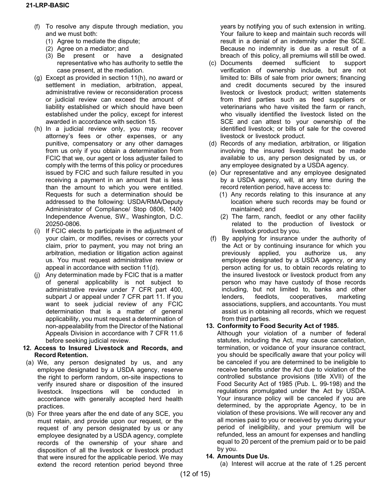- (f) To resolve any dispute through mediation, you and we must both:
	- (1) Agree to mediate the dispute;
	- (2) Agree on a mediator; and
	- (3) Be present or have a designated representative who has authority to settle the case present, at the mediation.
- (g) Except as provided in section 11(h), no award or settlement in mediation, arbitration, appeal, administrative review or reconsideration process or judicial review can exceed the amount of liability established or which should have been established under the policy, except for interest awarded in accordance with section 15.
- (h) In a judicial review only, you may recover attorney's fees or other expenses, or any punitive, compensatory or any other damages from us only if you obtain a determination from FCIC that we, our agent or loss adjuster failed to comply with the terms of this policy or procedures issued by FCIC and such failure resulted in you receiving a payment in an amount that is less than the amount to which you were entitled. Requests for such a determination should be addressed to the following: USDA/RMA/Deputy Administrator of Compliance/ Stop 0806, 1400 Independence Avenue, SW., Washington, D.C. 20250-0806.
- (i) If FCIC elects to participate in the adjustment of your claim, or modifies, revises or corrects your claim, prior to payment, you may not bring an arbitration, mediation or litigation action against us. You must request administrative review or appeal in accordance with section 11(d).
- (j) Any determination made by FCIC that is a matter of general applicability is not subject to administrative review under 7 CFR part 400, subpart J or appeal under 7 CFR part 11. If you want to seek judicial review of any FCIC determination that is a matter of general applicability, you must request a determination of non-appealability from the Director of the National Appeals Division in accordance with 7 CFR 11.6 before seeking judicial review.
- **12. Access to Insured Livestock and Records, and Record Retention.**
- (a) We, any person designated by us, and any employee designated by a USDA agency, reserve the right to perform random, on-site inspections to verify insured share or disposition of the insured livestock. Inspections will be conducted in accordance with generally accepted herd health practices.
- (b) For three years after the end date of any SCE, you must retain, and provide upon our request, or the request of any person designated by us or any employee designated by a USDA agency, complete records of the ownership of your share and disposition of all the livestock or livestock product that were insured for the applicable period. We may extend the record retention period beyond three

years by notifying you of such extension in writing. Your failure to keep and maintain such records will result in a denial of an indemnity under the SCE. Because no indemnity is due as a result of a breach of this policy, all premiums will still be owed.

- (c) Documents deemed sufficient to support verification of ownership include, but are not limited to: Bills of sale from prior owners; financing and credit documents secured by the insured livestock or livestock product; written statements from third parties such as feed suppliers or veterinarians who have visited the farm or ranch, who visually identified the livestock listed on the SCE and can attest to your ownership of the identified livestock; or bills of sale for the covered livestock or livestock product.
- (d) Records of any mediation, arbitration, or litigation involving the insured livestock must be made available to us, any person designated by us, or any employee designated by a USDA agency.
- (e) Our representative and any employee designated by a USDA agency, will, at any time during the record retention period, have access to:
	- (1) Any records relating to this insurance at any location where such records may be found or maintained; and
	- (2) The farm, ranch, feedlot or any other facility related to the production of livestock or livestock product by you.
- (f) By applying for insurance under the authority of the Act or by continuing insurance for which you previously applied, you authorize us, any employee designated by a USDA agency, or any person acting for us, to obtain records relating to the insured livestock or livestock product from any person who may have custody of those records including, but not limited to, banks and other lenders, feedlots, cooperatives, marketing associations, suppliers, and accountants. You must assist us in obtaining all records, which we request from third parties.

## **13. Conformity to Food Security Act of 1985.**

Although your violation of a number of federal statutes, including the Act, may cause cancellation, termination, or voidance of your insurance contract, you should be specifically aware that your policy will be canceled if you are determined to be ineligible to receive benefits under the Act due to violation of the controlled substance provisions (title XVII) of the Food Security Act of 1985 (Pub. L. 99-198) and the regulations promulgated under the Act by USDA. Your insurance policy will be canceled if you are determined, by the appropriate Agency, to be in violation of these provisions. We will recover any and all monies paid to you or received by you during your period of ineligibility, and your premium will be refunded, less an amount for expenses and handling equal to 20 percent of the premium paid or to be paid by you.

## **14. Amounts Due Us.**

(a) Interest will accrue at the rate of 1.25 percent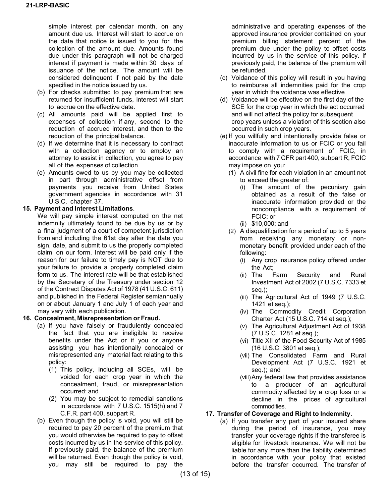simple interest per calendar month, on any amount due us. Interest will start to accrue on the date that notice is issued to you for the collection of the amount due. Amounts found due under this paragraph will not be charged interest if payment is made within 30 days of issuance of the notice. The amount will be considered delinquent if not paid by the date specified in the notice issued by us.

- (b) For checks submitted to pay premium that are returned for insufficient funds, interest will start to accrue on the effective date.
- (c) All amounts paid will be applied first to expenses of collection if any, second to the reduction of accrued interest, and then to the reduction of the principal balance.
- (d) If we determine that it is necessary to contract with a collection agency or to employ an attorney to assist in collection, you agree to pay all of the expenses of collection.
- (e) Amounts owed to us by you may be collected in part through administrative offset from payments you receive from United States government agencies in accordance with 31 U.S.C. chapter 37.

#### **15. Payment and Interest Limitations**.

We will pay simple interest computed on the net indemnity ultimately found to be due by us or by a final judgment of a court of competent jurisdiction from and including the 61st day after the date you sign, date, and submit to us the properly completed claim on our form. Interest will be paid only if the reason for our failure to timely pay is NOT due to your failure to provide a properly completed claim form to us. The interest rate will be that established by the Secretary of the Treasury under section 12 of the Contract Disputes Act of 1978 (41 U.S.C. 611) and published in the Federal Register semiannually on or about January 1 and July 1 of each year and may vary with each publication.

### **16. Concealment, Misrepresentation or Fraud.**

- (a) If you have falsely or fraudulently concealed the fact that you are ineligible to receive benefits under the Act or if you or anyone assisting you has intentionally concealed or misrepresented any material fact relating to this policy:
	- (1) This policy, including all SCEs, will be voided for each crop year in which the concealment, fraud, or misrepresentation occurred; and
	- (2) You may be subject to remedial sanctions in accordance with 7 U.S.C. 1515(h) and 7 C.F.R. part 400, subpart R.
- (b) Even though the policy is void, you will still be required to pay 20 percent of the premium that you would otherwise be required to pay to offset costs incurred by us in the service of this policy. If previously paid, the balance of the premium will be returned. Even though the policy is void, you may still be required to pay the

administrative and operating expenses of the approved insurance provider contained on your premium billing statement percent of the premium due under the policy to offset costs incurred by us in the service of this policy. If previously paid, the balance of the premium will be refunded.

- (c) Voidance of this policy will result in you having to reimburse all indemnities paid for the crop year in which the voidance was effective
- (d) Voidance will be effective on the first day of the SCE for the crop year in which the act occurred and will not affect the policy for subsequent crop years unless a violation of this section also occurred in such crop years.
- (e) If you willfully and intentionally provide false or inaccurate information to us or FCIC or you fail to comply with a requirement of FCIC, in accordance with 7 CFR part 400, subpart R, FCIC may impose on you:
	- (1) A civil fine for each violation in an amount not to exceed the greater of:
		- (i) The amount of the pecuniary gain obtained as a result of the false or inaccurate information provided or the noncompliance with a requirement of FCIC; or
		- (ii) \$10,000; and
	- (2) A disqualification for a period of up to 5 years from receiving any monetary or nonmonetary benefit provided under each of the following:
		- (i) Any crop insurance policy offered under
		- the Act;<br>ii) The F Farm Security and Rural Investment Act of 2002 (7 U.S.C. 7333 et seq*.*);
		- (iii) The Agricultural Act of 1949 (7 U.S.C. 1421 et seq*.*);
		- (iv) The Commodity Credit Corporation Charter Act (15 U.S.C. 714 et seq*.*);
		- (v) The Agricultural Adjustment Act of 1938 (7 U.S.C. 1281 et seq.);
		- (vi) Title XII of the Food Security Act of 1985 (16 U.S.C. 3801 et seq*.*);
		- (vii) The Consolidated Farm and Rural Development Act (7 U.S.C. 1921 et seq*.*); and
		- (viii)Any federal law that provides assistance to a producer of an agricultural commodity affected by a crop loss or a decline in the prices of agricultural commodities.

### **17. Transfer of Coverage and Right to Indemnity.**

(a) If you transfer any part of your insured share during the period of insurance, you may transfer your coverage rights if the transferee is eligible for livestock insurance. We will not be liable for any more than the liability determined in accordance with your policy that existed before the transfer occurred. The transfer of

(13 of 15)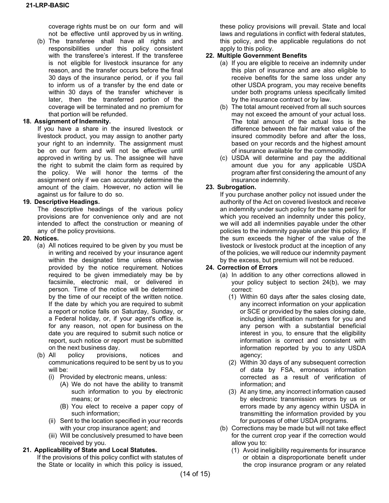coverage rights must be on our form and will not be effective until approved by us in writing.

(b) The transferee shall have all rights and responsibilities under this policy consistent with the transferee's interest. If the transferee is not eligible for livestock insurance for any reason, and the transfer occurs before the final 30 days of the insurance period, or if you fail to inform us of a transfer by the end date or within 30 days of the transfer whichever is later, then the transferred portion of the coverage will be terminated and no premium for that portion will be refunded.

#### **18. Assignment of Indemnity.**

If you have a share in the insured livestock or livestock product, you may assign to another party your right to an indemnity. The assignment must be on our form and will not be effective until approved in writing by us. The assignee will have the right to submit the claim form as required by the policy. We will honor the terms of the assignment only if we can accurately determine the amount of the claim. However, no action will lie against us for failure to do so.

### **19. Descriptive Headings.**

The descriptive headings of the various policy provisions are for convenience only and are not intended to affect the construction or meaning of any of the policy provisions.

#### **20. Notices.**

- (a) All notices required to be given by you must be in writing and received by your insurance agent within the designated time unless otherwise provided by the notice requirement. Notices required to be given immediately may be by facsimile, electronic mail, or delivered in person. Time of the notice will be determined by the time of our receipt of the written notice. If the date by which you are required to submit a report or notice falls on Saturday, Sunday, or a Federal holiday, or, if your agent's office is, for any reason, not open for business on the date you are required to submit such notice or report, such notice or report must be submitted on the next business day.
- (b) All policy provisions, notices and communications required to be sent by us to you will be:
	- (i) Provided by electronic means, unless:
		- (A) We do not have the ability to transmit such information to you by electronic means; or
		- (B) You elect to receive a paper copy of such information;
	- (ii) Sent to the location specified in your records with your crop insurance agent; and
	- (iii) Will be conclusively presumed to have been received by you.

#### **21. Applicability of State and Local Statutes.**

If the provisions of this policy conflict with statutes of the State or locality in which this policy is issued,

these policy provisions will prevail. State and local laws and regulations in conflict with federal statutes, this policy, and the applicable regulations do not apply to this policy.

### **22. Multiple Government Benefits**

- (a) If you are eligible to receive an indemnity under this plan of insurance and are also eligible to receive benefits for the same loss under any other USDA program, you may receive benefits under both programs unless specifically limited by the insurance contract or by law.
- (b) The total amount received from all such sources may not exceed the amount of your actual loss. The total amount of the actual loss is the difference between the fair market value of the insured commodity before and after the loss, based on your records and the highest amount of insurance available for the commodity.
- (c) USDA will determine and pay the additional amount due you for any applicable USDA program after first considering the amount of any insurance indemnity.

#### **23. Subrogation.**

If you purchase another policy not issued under the authority of the Act on covered livestock and receive an indemnity under such policy for the same peril for which you received an indemnity under this policy, we will add all indemnities payable under the other policies to the indemnity payable under this policy. If the sum exceeds the higher of the value of the livestock or livestock product at the inception of any of the policies, we will reduce our indemnity payment by the excess, but premium will not be reduced.

### **24. Correction of Errors**

- (a) In addition to any other corrections allowed in your policy subject to section 24(b), we may correct:
	- (1) Within 60 days after the sales closing date, any incorrect information on your application or SCE or provided by the sales closing date, including identification numbers for you and any person with a substantial beneficial interest in you, to ensure that the eligibility information is correct and consistent with information reported by you to any USDA agency;
	- (2) Within 30 days of any subsequent correction of data by FSA, erroneous information corrected as a result of verification of information; and
	- (3) At any time, any incorrect information caused by electronic transmission errors by us or errors made by any agency within USDA in transmitting the information provided by you for purposes of other USDA programs.
- (b) Corrections may be made but will not take effect for the current crop year if the correction would allow you to:
	- (1) Avoid ineligibility requirements for insurance or obtain a disproportionate benefit under the crop insurance program or any related

(14 of 15)